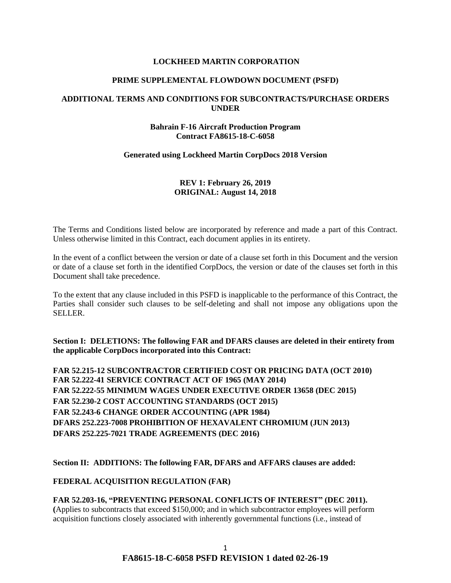#### **LOCKHEED MARTIN CORPORATION**

#### **PRIME SUPPLEMENTAL FLOWDOWN DOCUMENT (PSFD)**

### **ADDITIONAL TERMS AND CONDITIONS FOR SUBCONTRACTS/PURCHASE ORDERS UNDER**

#### **Bahrain F-16 Aircraft Production Program Contract FA8615-18-C-6058**

#### **Generated using Lockheed Martin CorpDocs 2018 Version**

### **REV 1: February 26, 2019 ORIGINAL: August 14, 2018**

The Terms and Conditions listed below are incorporated by reference and made a part of this Contract. Unless otherwise limited in this Contract, each document applies in its entirety.

In the event of a conflict between the version or date of a clause set forth in this Document and the version or date of a clause set forth in the identified CorpDocs, the version or date of the clauses set forth in this Document shall take precedence.

To the extent that any clause included in this PSFD is inapplicable to the performance of this Contract, the Parties shall consider such clauses to be self-deleting and shall not impose any obligations upon the SELLER.

**Section I: DELETIONS: The following FAR and DFARS clauses are deleted in their entirety from the applicable CorpDocs incorporated into this Contract:**

**FAR 52.215-12 SUBCONTRACTOR CERTIFIED COST OR PRICING DATA (OCT 2010) FAR 52.222-41 SERVICE CONTRACT ACT OF 1965 (MAY 2014) FAR 52.222-55 MINIMUM WAGES UNDER EXECUTIVE ORDER 13658 (DEC 2015) FAR 52.230-2 COST ACCOUNTING STANDARDS (OCT 2015) FAR 52.243-6 CHANGE ORDER ACCOUNTING (APR 1984) DFARS 252.223-7008 PROHIBITION OF HEXAVALENT CHROMIUM (JUN 2013) DFARS 252.225-7021 TRADE AGREEMENTS (DEC 2016)**

#### **Section II: ADDITIONS: The following FAR, DFARS and AFFARS clauses are added:**

#### **[FEDERAL ACQUISITION REGULATION \(](https://www.acquisition.gov/browsefar)FAR)**

### **FAR 52.203-16, "PREVENTING PERSONAL CONFLICTS OF INTEREST" (DEC 2011).**

**(**Applies to subcontracts that exceed \$150,000; and in which subcontractor employees will perform acquisition functions closely associated with inherently governmental functions (i.e., instead of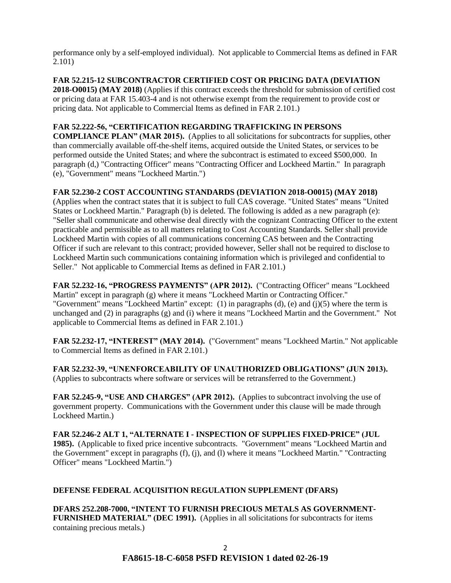performance only by a self-employed individual). Not applicable to Commercial Items as defined in FAR 2.101)

**FAR 52.215-12 SUBCONTRACTOR CERTIFIED COST OR PRICING DATA (DEVIATION 2018-O0015) (MAY 2018)** (Applies if this contract exceeds the threshold for submission of certified cost or pricing data at FAR 15.403-4 and is not otherwise exempt from the requirement to provide cost or pricing data. Not applicable to Commercial Items as defined in FAR 2.101.)

## **FAR 52.222-56, "CERTIFICATION REGARDING TRAFFICKING IN PERSONS**

**COMPLIANCE PLAN" (MAR 2015).** (Applies to all solicitations for subcontracts for supplies, other than commercially available off-the-shelf items, acquired outside the United States, or services to be performed outside the United States; and where the subcontract is estimated to exceed \$500,000. In paragraph (d,) "Contracting Officer" means "Contracting Officer and Lockheed Martin." In paragraph (e), "Government" means "Lockheed Martin.")

## **FAR 52.230-2 COST ACCOUNTING STANDARDS (DEVIATION 2018-O0015) (MAY 2018)**

(Applies when the contract states that it is subject to full CAS coverage. "United States" means "United States or Lockheed Martin." Paragraph (b) is deleted. The following is added as a new paragraph (e): "Seller shall communicate and otherwise deal directly with the cognizant Contracting Officer to the extent practicable and permissible as to all matters relating to Cost Accounting Standards. Seller shall provide Lockheed Martin with copies of all communications concerning CAS between and the Contracting Officer if such are relevant to this contract; provided however, Seller shall not be required to disclose to Lockheed Martin such communications containing information which is privileged and confidential to Seller." Not applicable to Commercial Items as defined in FAR 2.101.)

**FAR 52.232-16, "PROGRESS PAYMENTS" (APR 2012).** ("Contracting Officer" means "Lockheed Martin" except in paragraph (g) where it means "Lockheed Martin or Contracting Officer." "Government" means "Lockheed Martin" except: (1) in paragraphs (d), (e) and (j)(5) where the term is unchanged and (2) in paragraphs (g) and (i) where it means "Lockheed Martin and the Government." Not applicable to Commercial Items as defined in FAR 2.101.)

**FAR 52.232-17, "INTEREST" (MAY 2014).** ("Government" means "Lockheed Martin." Not applicable to Commercial Items as defined in FAR 2.101.)

**FAR 52.232-39, "UNENFORCEABILITY OF UNAUTHORIZED OBLIGATIONS" (JUN 2013).** (Applies to subcontracts where software or services will be retransferred to the Government.)

**FAR 52.245-9, "USE AND CHARGES" (APR 2012).** (Applies to subcontract involving the use of government property. Communications with the Government under this clause will be made through Lockheed Martin.)

**FAR 52.246-2 ALT 1, "ALTERNATE I - INSPECTION OF SUPPLIES FIXED-PRICE" (JUL 1985).** (Applicable to fixed price incentive subcontracts. "Government" means "Lockheed Martin and the Government" except in paragraphs (f), (j), and (l) where it means "Lockheed Martin." "Contracting Officer" means "Lockheed Martin.")

# **DEFENSE FEDERAL ACQUISITION REGULATION SUPPLEMENT (DFARS)**

**DFARS 252.208-7000, "INTENT TO FURNISH PRECIOUS METALS AS GOVERNMENT-FURNISHED MATERIAL" (DEC 1991).** (Applies in all solicitations for subcontracts for items containing precious metals.)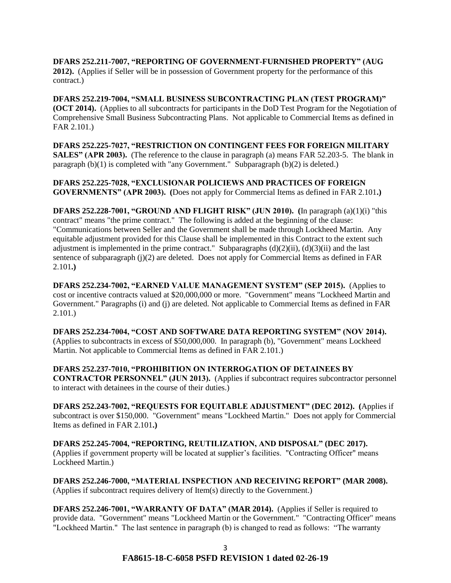**DFARS 252.211-7007, "REPORTING OF GOVERNMENT-FURNISHED PROPERTY" (AUG 2012).** (Applies if Seller will be in possession of Government property for the performance of this contract.)

**DFARS 252.219-7004, "SMALL BUSINESS SUBCONTRACTING PLAN (TEST PROGRAM)" (OCT 2014).** (Applies to all subcontracts for participants in the DoD Test Program for the Negotiation of Comprehensive Small Business Subcontracting Plans. Not applicable to Commercial Items as defined in FAR 2.101.)

**DFARS 252.225-7027, "RESTRICTION ON CONTINGENT FEES FOR FOREIGN MILITARY SALES" (APR 2003).** (The reference to the clause in paragraph (a) means FAR 52.203-5. The blank in paragraph (b)(1) is completed with "any Government." Subparagraph (b)(2) is deleted.)

**DFARS 252.225-7028, "EXCLUSIONAR POLICIEWS AND PRACTICES OF FOREIGN GOVERNMENTS" (APR 2003). (**Does not apply for Commercial Items as defined in FAR 2.101**.)**

**DFARS 252.228-7001, "GROUND AND FLIGHT RISK" (JUN 2010). (**In paragraph (a)(1)(i) "this contract" means "the prime contract." The following is added at the beginning of the clause: "Communications between Seller and the Government shall be made through Lockheed Martin. Any equitable adjustment provided for this Clause shall be implemented in this Contract to the extent such adjustment is implemented in the prime contract." Subparagraphs  $(d)(2)(ii)$ ,  $(d)(3)(ii)$  and the last sentence of subparagraph  $(i)(2)$  are deleted. Does not apply for Commercial Items as defined in FAR 2.101**.)**

**DFARS 252.234-7002, "EARNED VALUE MANAGEMENT SYSTEM" (SEP 2015).** (Applies to cost or incentive contracts valued at \$20,000,000 or more. "Government" means "Lockheed Martin and Government." Paragraphs (i) and (j) are deleted. Not applicable to Commercial Items as defined in FAR 2.101.)

**DFARS 252.234-7004, "COST AND SOFTWARE DATA REPORTING SYSTEM" (NOV 2014).** (Applies to subcontracts in excess of \$50,000,000. In paragraph (b), "Government" means Lockheed Martin. Not applicable to Commercial Items as defined in FAR 2.101.)

**DFARS 252.237-7010, "PROHIBITION ON INTERROGATION OF DETAINEES BY CONTRACTOR PERSONNEL" (JUN 2013).** (Applies if subcontract requires subcontractor personnel to interact with detainees in the course of their duties.)

**DFARS 252.243-7002, "REQUESTS FOR EQUITABLE ADJUSTMENT" (DEC 2012). (**Applies if subcontract is over \$150,000. "Government" means "Lockheed Martin." Does not apply for Commercial Items as defined in FAR 2.101**.)**

**DFARS 252.245-7004, "REPORTING, REUTILIZATION, AND DISPOSAL" (DEC 2017).** (Applies if government property will be located at supplier's facilities. "Contracting Officer" means Lockheed Martin.)

**DFARS 252.246-7000, "MATERIAL INSPECTION AND RECEIVING REPORT" (MAR 2008).** (Applies if subcontract requires delivery of Item(s) directly to the Government.)

**DFARS 252.246-7001, "WARRANTY OF DATA" (MAR 2014).** (Applies if Seller is required to provide data. "Government" means "Lockheed Martin or the Government." "Contracting Officer" means "Lockheed Martin." The last sentence in paragraph (b) is changed to read as follows: "The warranty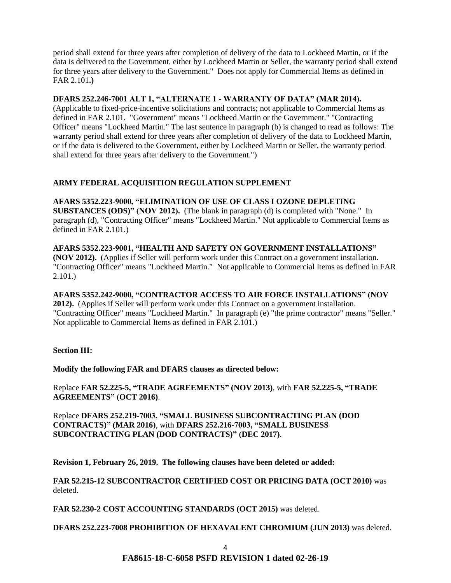period shall extend for three years after completion of delivery of the data to Lockheed Martin, or if the data is delivered to the Government, either by Lockheed Martin or Seller, the warranty period shall extend for three years after delivery to the Government." Does not apply for Commercial Items as defined in FAR 2.101**.)**

### **DFARS 252.246-7001 ALT 1, "ALTERNATE 1 - WARRANTY OF DATA" (MAR 2014).**

(Applicable to fixed-price-incentive solicitations and contracts; not applicable to Commercial Items as defined in FAR 2.101. "Government" means "Lockheed Martin or the Government." "Contracting Officer" means "Lockheed Martin." The last sentence in paragraph (b) is changed to read as follows: The warranty period shall extend for three years after completion of delivery of the data to Lockheed Martin, or if the data is delivered to the Government, either by Lockheed Martin or Seller, the warranty period shall extend for three years after delivery to the Government.")

# **ARMY FEDERAL ACQUISITION REGULATION SUPPLEMENT**

**AFARS 5352.223-9000, "ELIMINATION OF USE OF CLASS I OZONE DEPLETING SUBSTANCES (ODS)" (NOV 2012).** (The blank in paragraph (d) is completed with "None." In paragraph (d), "Contracting Officer" means "Lockheed Martin." Not applicable to Commercial Items as defined in FAR 2.101.)

**AFARS 5352.223-9001, "HEALTH AND SAFETY ON GOVERNMENT INSTALLATIONS" (NOV 2012).** (Applies if Seller will perform work under this Contract on a government installation. "Contracting Officer" means "Lockheed Martin." Not applicable to Commercial Items as defined in FAR 2.101.)

**AFARS 5352.242-9000, "CONTRACTOR ACCESS TO AIR FORCE INSTALLATIONS" (NOV 2012).** (Applies if Seller will perform work under this Contract on a government installation. "Contracting Officer" means "Lockheed Martin." In paragraph (e) "the prime contractor" means "Seller." Not applicable to Commercial Items as defined in FAR 2.101.)

# **Section III:**

**Modify the following FAR and DFARS clauses as directed below:**

Replace **FAR 52.225-5, "TRADE AGREEMENTS" (NOV 2013)**, with **FAR 52.225-5, "TRADE AGREEMENTS" (OCT 2016)**.

Replace **DFARS 252.219-7003, "SMALL BUSINESS SUBCONTRACTING PLAN (DOD CONTRACTS)" (MAR 2016)**, with **DFARS 252.216-7003, "SMALL BUSINESS SUBCONTRACTING PLAN (DOD CONTRACTS)" (DEC 2017)**.

**Revision 1, February 26, 2019. The following clauses have been deleted or added:**

**FAR 52.215-12 SUBCONTRACTOR CERTIFIED COST OR PRICING DATA (OCT 2010)** was deleted.

**FAR 52.230-2 COST ACCOUNTING STANDARDS (OCT 2015)** was deleted.

**DFARS 252.223-7008 PROHIBITION OF HEXAVALENT CHROMIUM (JUN 2013)** was deleted.